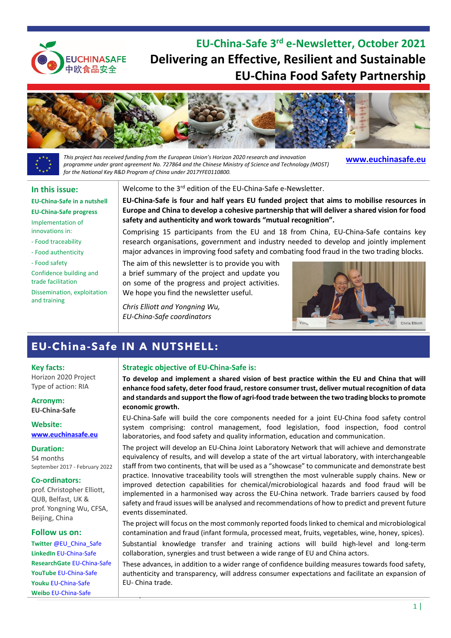

**EU-China-Safe 3rd e-Newsletter, October 2021 Delivering an Effective, Resilient and Sustainable EU-China Food Safety Partnership**



*This project has received funding from the European Union's Horizon 2020 research and innovation programme under grant agreement No. 727864 and the Chinese Ministry of Science and Technology (MOST) for the National Key R&D Program of China under 2017YFE0110800.*

**[www.euchinasafe.eu](http://www.euchinasafe.eu/)**

### **In this issue:**

#### **[EU-China-Safe in a nutshell](#page-0-0)**

**[EU-China-Safe progress](#page-1-0)**

Implementation of innovations in:

- [Food traceability](#page-1-1)
- [Food authenticity](#page-1-2)
- [Food safety](#page-2-0)

[Confidence building and](#page-3-0)  [trade facilitation](#page-3-0) [Dissemination, exploitation](#page-3-1)  [and training](#page-3-1)

### Welcome to the 3<sup>rd</sup> edition of the EU-China-Safe e-Newsletter.

**EU-China-Safe is four and half years EU funded project that aims to mobilise resources in Europe and China to develop a cohesive partnership that will deliver a shared vision for food safety and authenticity and work towards "mutual recognition".** 

Comprising 15 participants from the EU and 18 from China, EU-China-Safe contains key research organisations, government and industry needed to develop and jointly implement major advances in improving food safety and combating food fraud in the two trading blocks.

The aim of this newsletter is to provide you with a brief summary of the project and update you on some of the progress and project activities. We hope you find the newsletter useful.

*Chris Elliott and Yongning Wu, EU-China-Safe coordinators*



# <span id="page-0-0"></span>**EU-China-Safe IN A NUTSHELL:**

#### **Key facts:**

Horizon 2020 Project Type of action: RIA

**Acronym: EU-China-Safe**

**Website: [www.euchinasafe.eu](http://www.euchinasafe.eu/)**

#### **Duration:**

54 months September 2017 - February 2022

#### **Co-ordinators:**

prof. Christopher Elliott, QUB, Belfast, UK & prof. Yongning Wu, CFSA, Beijing, China

#### **Follow us on:**

**Twitter** [@EU\\_China\\_Safe](https://twitter.com/EU_China_Safe)  **LinkedIn** [EU-China-Safe](https://www.linkedin.com/company/eu-china-safe/) **ResearchGate** [EU-China-Safe](https://www.researchgate.net/project/EU-China-Safe) **YouTube** [EU-China-Safe](https://www.youtube.com/channel/UCAA1mqQNNGU4DpKhTOgRDVA) **Youku** [EU-China-Safe](https://i.youku.com/i/UNDI1Nzk3OTMyMA==?spm=a2hbt.13141534.1_1.2) **Weibo** [EU-China-Safe](https://www.weibo.com/p/1005053295774501/home?from=page_100505&mod=TAB&is_all=1#place)

### **Strategic objective of EU-China-Safe is:**

**To develop and implement a shared vision of best practice within the EU and China that will enhance food safety, deter food fraud, restore consumer trust, deliver mutual recognition of data and standards and support the flow of agri-food trade between the two trading blocks to promote economic growth.**

EU-China-Safe will build the core components needed for a joint EU-China food safety control system comprising: control management, food legislation, food inspection, food control laboratories, and food safety and quality information, education and communication.

The project will develop an EU-China Joint Laboratory Network that will achieve and demonstrate equivalency of results, and will develop a state of the art virtual laboratory, with interchangeable staff from two continents, that will be used as a "showcase" to communicate and demonstrate best practice. Innovative traceability tools will strengthen the most vulnerable supply chains. New or improved detection capabilities for chemical/microbiological hazards and food fraud will be implemented in a harmonised way across the EU-China network. Trade barriers caused by food safety and fraud issues will be analysed and recommendations of how to predict and prevent future events disseminated.

The project will focus on the most commonly reported foods linked to chemical and microbiological contamination and fraud (infant formula, processed meat, fruits, vegetables, wine, honey, spices).

Substantial knowledge transfer and training actions will build high-level and long-term collaboration, synergies and trust between a wide range of EU and China actors.

These advances, in addition to a wider range of confidence building measures towards food safety, authenticity and transparency, will address consumer expectations and facilitate an expansion of EU- China trade.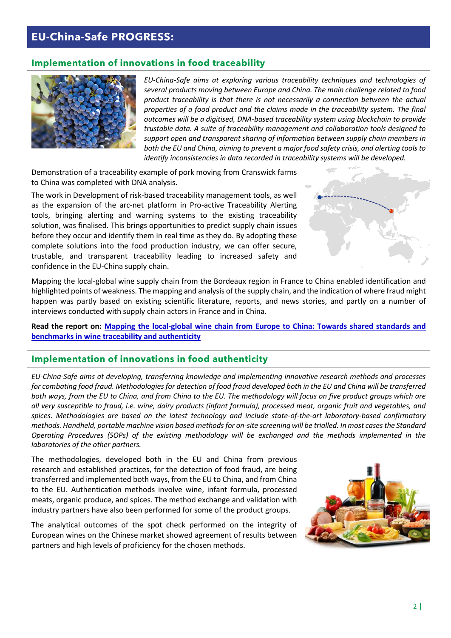# <span id="page-1-0"></span>**EU-China-Safe PROGRESS:**

# <span id="page-1-1"></span>**Implementation of innovations in food traceability**

*EU-China-Safe aims at exploring various traceability techniques and technologies of several products moving between Europe and China. The main challenge related to food product traceability is that there is not necessarily a connection between the actual properties of a food product and the claims made in the traceability system. The final outcomes will be a digitised, DNA-based traceability system using blockchain to provide trustable data. A suite of traceability management and collaboration tools designed to support open and transparent sharing of information between supply chain members in both the EU and China, aiming to prevent a major food safety crisis, and alerting tools to identify inconsistencies in data recorded in traceability systems will be developed.*

Demonstration of a traceability example of pork moving from Cranswick farms to China was completed with DNA analysis.

The work in Development of risk-based traceability management tools, as well as the expansion of the arc-net platform in Pro-active Traceability Alerting tools, bringing alerting and warning systems to the existing traceability solution, was finalised. This brings opportunities to predict supply chain issues before they occur and identify them in real time as they do. By adopting these complete solutions into the food production industry, we can offer secure, trustable, and transparent traceability leading to increased safety and confidence in the EU-China supply chain.



Mapping the local-global wine supply chain from the Bordeaux region in France to China enabled identification and highlighted points of weakness. The mapping and analysis of the supply chain, and the indication of where fraud might happen was partly based on existing scientific literature, reports, and news stories, and partly on a number of interviews conducted with supply chain actors in France and in China.

**Read the report on: [Mapping the local-global wine chain from Europe to China: Towards shared standards and](https://nofima.brage.unit.no/nofima-xmlui/handle/11250/2734677)  [benchmarks in wine traceability and authenticity](https://nofima.brage.unit.no/nofima-xmlui/handle/11250/2734677)**

## <span id="page-1-2"></span>**Implementation of innovations in food authenticity**

*EU-China-Safe aims at developing, transferring knowledge and implementing innovative research methods and processes for combating food fraud. Methodologies for detection of food fraud developed both in the EU and China will be transferred both ways, from the EU to China, and from China to the EU. The methodology will focus on five product groups which are all very susceptible to fraud, i.e. wine, dairy products (infant formula), processed meat, organic fruit and vegetables, and spices. Methodologies are based on the latest technology and include state-of-the-art laboratory-based confirmatory methods. Handheld, portable machine vision based methods for on-site screening will be trialled. In most cases the Standard Operating Procedures (SOPs) of the existing methodology will be exchanged and the methods implemented in the laboratories of the other partners.* 

The methodologies, developed both in the EU and China from previous research and established practices, for the detection of food fraud, are being transferred and implemented both ways, from the EU to China, and from China to the EU. Authentication methods involve wine, infant formula, processed meats, organic produce, and spices. The method exchange and validation with industry partners have also been performed for some of the product groups.

The analytical outcomes of the spot check performed on the integrity of European wines on the Chinese market showed agreement of results between partners and high levels of proficiency for the chosen methods.

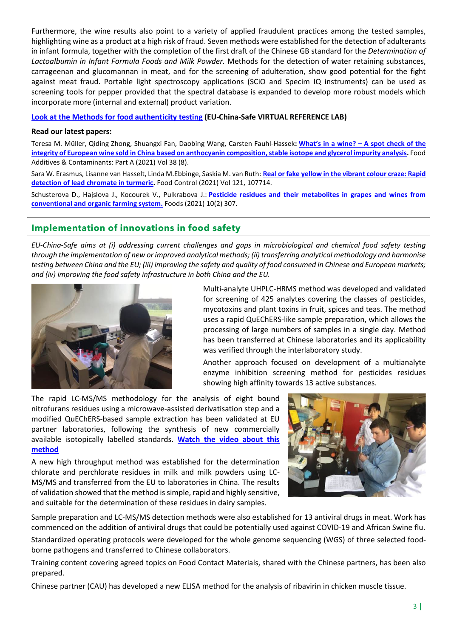Furthermore, the wine results also point to a variety of applied fraudulent practices among the tested samples, highlighting wine as a product at a high risk of fraud. Seven methods were established for the detection of adulterants in infant formula, together with the completion of the first draft of the Chinese GB standard for the *Determination of Lactoalbumin in Infant Formula Foods and Milk Powder.* Methods for the detection of water retaining substances, carrageenan and glucomannan in meat, and for the screening of adulteration, show good potential for the fight against meat fraud. Portable light spectroscopy applications (SCiO and Specim IQ instruments) can be used as screening tools for pepper provided that the spectral database is expanded to develop more robust models which incorporate more (internal and external) product variation.

### **[Look at the Methods for food authenticity testing](http://www.euchinasafe.eu/methods_for_food_authenticity_testing.html) (EU-China-Safe VIRTUAL REFERENCE LAB)**

### **Read our latest papers:**

Teresa M. Müller, Qiding Zhong, Shuangxi Fan, Daobing Wang, Carsten Fauhl-Hassek**: What's in a wine? – [A spot check of the](https://doi.org/10.1080/19440049.2021.1916097)  [integrity of European wine sold in China based on anthocyanin composition, stable isotope and glycerol impurity analysis.](https://doi.org/10.1080/19440049.2021.1916097)** Food Additives & Contaminants: Part A (2021) Vol 38 (8).

Sara W. Erasmus, Lisanne van Hasselt, Linda M.Ebbinge, Saskia M. van Ruth: **[Real or fake yellow in the vibrant colour craze: Rapid](https://doi.org/10.1016/J.FOODCONT.2020.107714)  [detection of lead chromate in turmeric.](https://doi.org/10.1016/J.FOODCONT.2020.107714)** Food Control (2021) Vol 121, 107714.

Schusterova D., Hajslova J., Kocourek V., Pulkrabova J.: **[Pesticide residues and their metabolites in grapes and wines from](https://doi.org/10.3390/foods10020307)  [conventional and organic farming system.](https://doi.org/10.3390/foods10020307)** Foods (2021) 10(2) 307.

# <span id="page-2-0"></span>**Implementation of innovations in food safety**

*EU-China-Safe aims at (i) addressing current challenges and gaps in microbiological and chemical food safety testing through the implementation of new or improved analytical methods; (ii) transferring analytical methodology and harmonise testing between China and the EU; (iii) improving the safety and quality of food consumed in Chinese and European markets; and (iv) improving the food safety infrastructure in both China and the EU.*



Multi-analyte UHPLC-HRMS method was developed and validated for screening of 425 analytes covering the classes of pesticides, mycotoxins and plant toxins in fruit, spices and teas. The method uses a rapid QuEChERS-like sample preparation, which allows the processing of large numbers of samples in a single day. Method has been transferred at Chinese laboratories and its applicability was verified through the interlaboratory study.

Another approach focused on development of a multianalyte enzyme inhibition screening method for pesticides residues showing high affinity towards 13 active substances.

The rapid LC-MS/MS methodology for the analysis of eight bound nitrofurans residues using a microwave-assisted derivatisation step and a modified QuEChERS-based sample extraction has been validated at EU partner laboratories, following the synthesis of new commercially available isotopically labelled standards. **[Watch the video about this](https://youtu.be/7zo3fCuhdxM)  [method](https://youtu.be/7zo3fCuhdxM)**

A new high throughput method was established for the determination chlorate and perchlorate residues in milk and milk powders using LC-MS/MS and transferred from the EU to laboratories in China. The results of validation showed that the method is simple, rapid and highly sensitive, and suitable for the determination of these residues in dairy samples.



Sample preparation and LC-MS/MS detection methods were also established for 13 antiviral drugs in meat. Work has commenced on the addition of antiviral drugs that could be potentially used against COVID-19 and African Swine flu. Standardized operating protocols were developed for the whole genome sequencing (WGS) of three selected foodborne pathogens and transferred to Chinese collaborators.

Training content covering agreed topics on Food Contact Materials, shared with the Chinese partners, has been also prepared.

Chinese partner (CAU) has developed a new ELISA method for the analysis of ribavirin in chicken muscle tissue.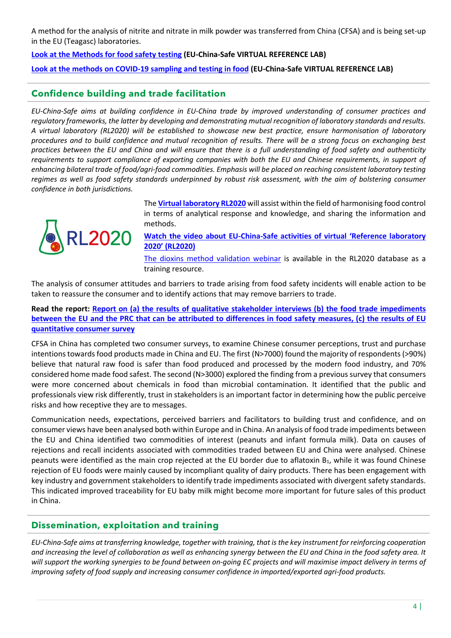A method for the analysis of nitrite and nitrate in milk powder was transferred from China (CFSA) and is being set-up in the EU (Teagasc) laboratories.

**[Look at the Methods for food safety testing](http://www.euchinasafe.eu/methods_for_food_safety_testing.html) (EU-China-Safe VIRTUAL REFERENCE LAB)**

**[Look at the methods on COVID-19 sampling and testing in food](http://www.euchinasafe.eu/virtual_reference_lab_covid.html) (EU-China-Safe VIRTUAL REFERENCE LAB)**

# <span id="page-3-0"></span>**Confidence building and trade facilitation**

*EU-China-Safe aims at building confidence in EU-China trade by improved understanding of consumer practices and regulatory frameworks, the latter by developing and demonstrating mutual recognition of laboratory standards and results. A virtual laboratory (RL2020) will be established to showcase new best practice, ensure harmonisation of laboratory procedures and to build confidence and mutual recognition of results. There will be a strong focus on exchanging best practices between the EU and China and will ensure that there is a full understanding of food safety and authenticity requirements to support compliance of exporting companies with both the EU and Chinese requirements, in support of enhancing bilateral trade of food/agri-food commodities. Emphasis will be placed on reaching consistent laboratory testing regimes as well as food safety standards underpinned by robust risk assessment, with the aim of bolstering consumer confidence in both jurisdictions.*



The **[Virtual laboratory RL2020](http://www.euchinasafe.eu/virtual_reference_lab.html)** will assist within the field of harmonising food control in terms of analytical response and knowledge, and sharing the information and methods.

**Watch the video about [EU-China-Safe activities of virtual 'Reference laboratory](https://youtu.be/q847bhkKifo)  [2020' \(RL2020\)](https://youtu.be/q847bhkKifo)**

[The dioxins method validation webinar](https://event.on24.com/eventRegistration/EventLobbyServlet?target=reg20.jsp&partnerref=THERMO&eventid=2508896&sessionid=1&key=9408666FACC885B1838F7386CA9E0E64®Tag=&sourcepage=register) is available in the RL2020 database as a training resource.

The analysis of consumer attitudes and barriers to trade arising from food safety incidents will enable action to be taken to reassure the consumer and to identify actions that may remove barriers to trade.

**Read the report: [Report on \(a\) the results of qualitative stakeholder interviews \(b\) the food trade impediments](http://www.euchinasafe.eu/pdf/method_testing/D5.1_Identification%20of%20communication%20needs_Analysis%20of%20trade%20barriers.pdf)  [between the EU and the PRC that can be attributed to differences in food safety measures, \(c\) the results of EU](http://www.euchinasafe.eu/pdf/method_testing/D5.1_Identification%20of%20communication%20needs_Analysis%20of%20trade%20barriers.pdf)  [quantitative consumer survey](http://www.euchinasafe.eu/pdf/method_testing/D5.1_Identification%20of%20communication%20needs_Analysis%20of%20trade%20barriers.pdf)**

CFSA in China has completed two consumer surveys, to examine Chinese consumer perceptions, trust and purchase intentions towards food products made in China and EU. The first (N>7000) found the majority of respondents (>90%) believe that natural raw food is safer than food produced and processed by the modern food industry, and 70% considered home made food safest. The second (N>3000) explored the finding from a previous survey that consumers were more concerned about chemicals in food than microbial contamination. It identified that the public and professionals view risk differently, trust in stakeholders is an important factor in determining how the public perceive risks and how receptive they are to messages.

Communication needs, expectations, perceived barriers and facilitators to building trust and confidence, and on consumer views have been analysed both within Europe and in China. An analysis of food trade impediments between the EU and China identified two commodities of interest (peanuts and infant formula milk). Data on causes of rejections and recall incidents associated with commodities traded between EU and China were analysed. Chinese peanuts were identified as the main crop rejected at the EU border due to aflatoxin B<sub>1</sub>, while it was found Chinese rejection of EU foods were mainly caused by incompliant quality of dairy products. There has been engagement with key industry and government stakeholders to identify trade impediments associated with divergent safety standards. This indicated improved traceability for EU baby milk might become more important for future sales of this product in China.

# <span id="page-3-1"></span>**Dissemination, exploitation and training**

*EU-China-Safe aims at transferring knowledge, together with training, that is the key instrument for reinforcing cooperation and increasing the level of collaboration as well as enhancing synergy between the EU and China in the food safety area. It will support the working synergies to be found between on-going EC projects and will maximise impact delivery in terms of improving safety of food supply and increasing consumer confidence in imported/exported agri-food products.*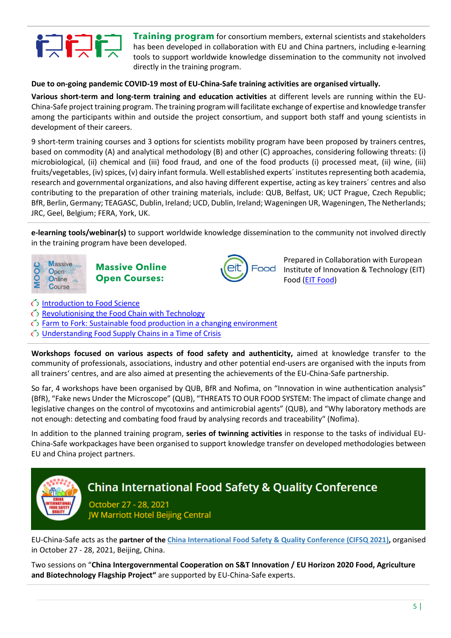

**Training program** for consortium members, external scientists and stakeholders has been developed in collaboration with EU and China partners, including e-learning tools to support worldwide knowledge dissemination to the community not involved directly in the training program.

### **Due to on-going pandemic COVID-19 most of EU-China-Safe training activities are organised virtually.**

**Various short-term and long-term training and education activities** at different levels are running within the EU-China-Safe project training program. The training program will facilitate exchange of expertise and knowledge transfer among the participants within and outside the project consortium, and support both staff and young scientists in development of their careers.

9 short-term training courses and 3 options for scientists mobility program have been proposed by trainers centres, based on commodity (A) and analytical methodology (B) and other (C) approaches, considering following threats: (i) microbiological, (ii) chemical and (iii) food fraud, and one of the food products (i) processed meat, (ii) wine, (iii) fruits/vegetables, (iv) spices, (v) dairy infant formula. Well established experts´ institutes representing both academia, research and governmental organizations, and also having different expertise, acting as key trainers´ centres and also contributing to the preparation of other training materials, include: QUB, Belfast, UK; UCT Prague, Czech Republic; BfR, Berlin, Germany; TEAGASC, Dublin, Ireland; UCD, Dublin, Ireland; Wageningen UR, Wageningen, The Netherlands; JRC, Geel, Belgium; FERA, York, UK.

**e-learning tools/webinar(s)** to support worldwide knowledge dissemination to the community not involved directly in the training program have been developed.



**Massive Online Open Courses:**



Prepared in Collaboration with European Institute of Innovation & Technology (EIT) Food [\(EIT Food\)](http://www.eitfood.eu/)

- [Introduction to Food Science](https://www.futurelearn.com/courses/an-introduction-to-food-science)
- [Revolutionising the Food Chain with Technology](https://www.futurelearn.com/courses/revolutionising-the-food-chain)
- $\bullet$  [Farm to Fork: Sustainable food production in a changing environment](https://www.futurelearn.com/courses/sustainable-agriculture-in-a-changing-environment/2)
- [Understanding Food Supply Chains in a Time of Crisis](https://www.futurelearn.com/courses/understanding-food-supply-chains)

**Workshops focused on various aspects of food safety and authenticity,** aimed at knowledge transfer to the community of professionals, associations, industry and other potential end-users are organised with the inputs from all trainers' centres, and are also aimed at presenting the achievements of the EU-China-Safe partnership.

So far, 4 workshops have been organised by QUB, BfR and Nofima, on "Innovation in wine authentication analysis" (BfR), "Fake news Under the Microscope" (QUB), "THREATS TO OUR FOOD SYSTEM: The impact of climate change and legislative changes on the control of mycotoxins and antimicrobial agents" (QUB), and "Why laboratory methods are not enough: detecting and combating food fraud by analysing records and traceability" (Nofima).

In addition to the planned training program, **series of twinning activities** in response to the tasks of individual EU-China-Safe workpackages have been organised to support knowledge transfer on developed methodologies between EU and China project partners.



EU-China-Safe acts as the **partner of the [China International Food Safety & Quality Conference \(CIFSQ 2021\),](http://www.chinafoodsafety.com/index.htm)** organised in October 27 - 28, 2021, Beijing, China.

Two sessions on "**China Intergovernmental Cooperation on S&T Innovation / EU Horizon 2020 Food, Agriculture and Biotechnology Flagship Project"** are supported by EU-China-Safe experts.